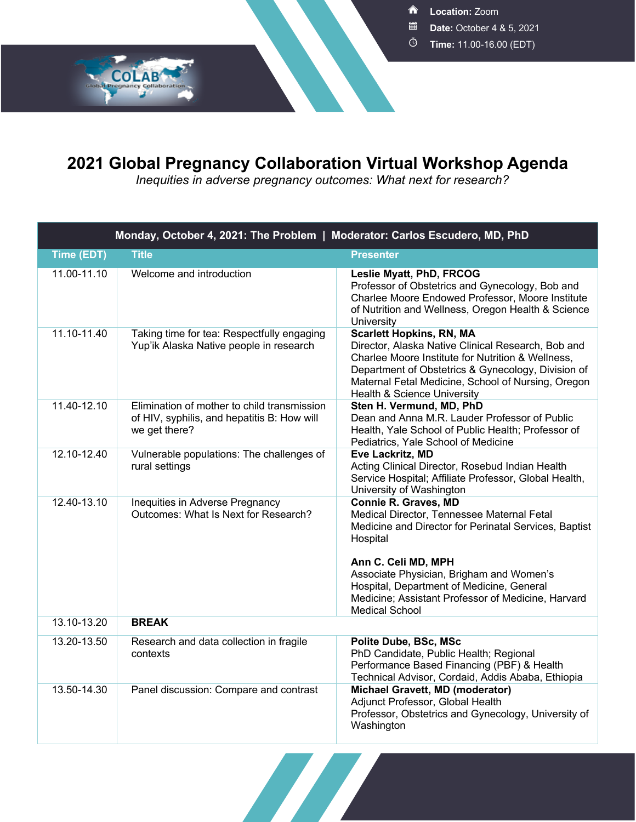**Location:** Zoom

- **Date:** October 4 & 5, 2021
- **Time:** 11.00-16.00 (EDT)

## **2021 Global Pregnancy Collaboration Virtual Workshop Agenda**

**COLAB** 

*Inequities in adverse pregnancy outcomes: What next for research?*

| Monday, October 4, 2021: The Problem   Moderator: Carlos Escudero, MD, PhD |                                                                                                             |                                                                                                                                                                                                                                                                                                                                               |  |  |
|----------------------------------------------------------------------------|-------------------------------------------------------------------------------------------------------------|-----------------------------------------------------------------------------------------------------------------------------------------------------------------------------------------------------------------------------------------------------------------------------------------------------------------------------------------------|--|--|
| Time (EDT)                                                                 | <b>Title</b>                                                                                                | <b>Presenter</b>                                                                                                                                                                                                                                                                                                                              |  |  |
| 11.00-11.10                                                                | Welcome and introduction                                                                                    | Leslie Myatt, PhD, FRCOG<br>Professor of Obstetrics and Gynecology, Bob and<br>Charlee Moore Endowed Professor, Moore Institute<br>of Nutrition and Wellness, Oregon Health & Science<br>University                                                                                                                                           |  |  |
| 11.10-11.40                                                                | Taking time for tea: Respectfully engaging<br>Yup'ik Alaska Native people in research                       | <b>Scarlett Hopkins, RN, MA</b><br>Director, Alaska Native Clinical Research, Bob and<br>Charlee Moore Institute for Nutrition & Wellness,<br>Department of Obstetrics & Gynecology, Division of<br>Maternal Fetal Medicine, School of Nursing, Oregon<br>Health & Science University                                                         |  |  |
| 11.40-12.10                                                                | Elimination of mother to child transmission<br>of HIV, syphilis, and hepatitis B: How will<br>we get there? | Sten H. Vermund, MD, PhD<br>Dean and Anna M.R. Lauder Professor of Public<br>Health, Yale School of Public Health; Professor of<br>Pediatrics, Yale School of Medicine                                                                                                                                                                        |  |  |
| 12.10-12.40                                                                | Vulnerable populations: The challenges of<br>rural settings                                                 | Eve Lackritz, MD<br>Acting Clinical Director, Rosebud Indian Health<br>Service Hospital; Affiliate Professor, Global Health,<br>University of Washington                                                                                                                                                                                      |  |  |
| 12.40-13.10                                                                | Inequities in Adverse Pregnancy<br>Outcomes: What Is Next for Research?                                     | <b>Connie R. Graves, MD</b><br>Medical Director, Tennessee Maternal Fetal<br>Medicine and Director for Perinatal Services, Baptist<br>Hospital<br>Ann C. Celi MD, MPH<br>Associate Physician, Brigham and Women's<br>Hospital, Department of Medicine, General<br>Medicine; Assistant Professor of Medicine, Harvard<br><b>Medical School</b> |  |  |
| 13.10-13.20                                                                | <b>BREAK</b>                                                                                                |                                                                                                                                                                                                                                                                                                                                               |  |  |
| 13.20-13.50                                                                | Research and data collection in fragile<br>contexts                                                         | Polite Dube, BSc, MSc<br>PhD Candidate, Public Health; Regional<br>Performance Based Financing (PBF) & Health<br>Technical Advisor, Cordaid, Addis Ababa, Ethiopia                                                                                                                                                                            |  |  |
| 13.50-14.30                                                                | Panel discussion: Compare and contrast                                                                      | Michael Gravett, MD (moderator)<br>Adjunct Professor, Global Health<br>Professor, Obstetrics and Gynecology, University of<br>Washington                                                                                                                                                                                                      |  |  |

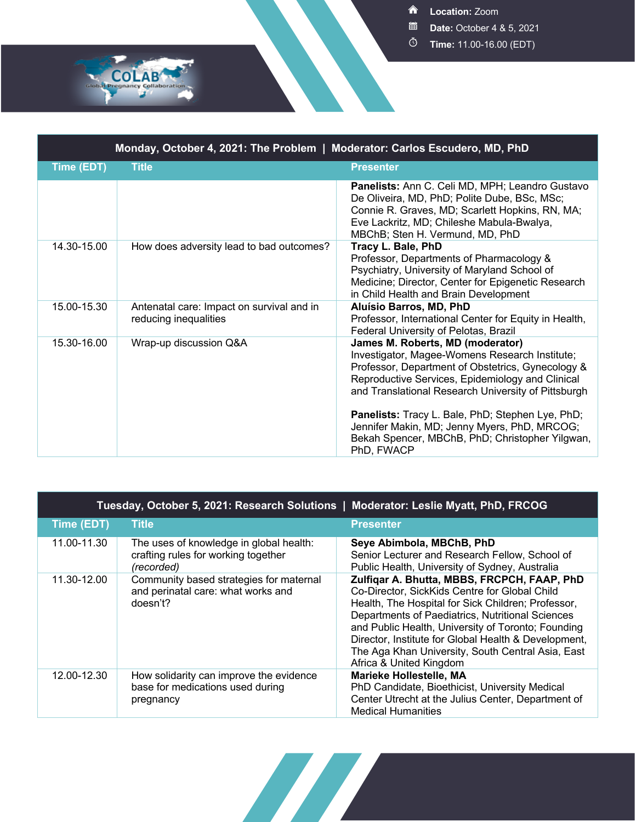**Location:** Zoom

- **Date:** October 4 & 5, 2021
- **Time:** 11.00-16.00 (EDT)

| Monday, October 4, 2021: The Problem   Moderator: Carlos Escudero, MD, PhD |                                                                    |                                                                                                                                                                                                                                                                                                                                                                                                                         |  |  |
|----------------------------------------------------------------------------|--------------------------------------------------------------------|-------------------------------------------------------------------------------------------------------------------------------------------------------------------------------------------------------------------------------------------------------------------------------------------------------------------------------------------------------------------------------------------------------------------------|--|--|
| Time (EDT)                                                                 | <b>Title</b>                                                       | <b>Presenter</b>                                                                                                                                                                                                                                                                                                                                                                                                        |  |  |
|                                                                            |                                                                    | Panelists: Ann C. Celi MD, MPH; Leandro Gustavo<br>De Oliveira, MD, PhD; Polite Dube, BSc, MSc;<br>Connie R. Graves, MD; Scarlett Hopkins, RN, MA;<br>Eve Lackritz, MD; Chileshe Mabula-Bwalya,<br>MBChB; Sten H. Vermund, MD, PhD                                                                                                                                                                                      |  |  |
| 14.30-15.00                                                                | How does adversity lead to bad outcomes?                           | Tracy L. Bale, PhD<br>Professor, Departments of Pharmacology &<br>Psychiatry, University of Maryland School of<br>Medicine; Director, Center for Epigenetic Research<br>in Child Health and Brain Development                                                                                                                                                                                                           |  |  |
| 15.00-15.30                                                                | Antenatal care: Impact on survival and in<br>reducing inequalities | Aluísio Barros, MD, PhD<br>Professor, International Center for Equity in Health,<br>Federal University of Pelotas, Brazil                                                                                                                                                                                                                                                                                               |  |  |
| 15.30-16.00                                                                | Wrap-up discussion Q&A                                             | James M. Roberts, MD (moderator)<br>Investigator, Magee-Womens Research Institute;<br>Professor, Department of Obstetrics, Gynecology &<br>Reproductive Services, Epidemiology and Clinical<br>and Translational Research University of Pittsburgh<br>Panelists: Tracy L. Bale, PhD; Stephen Lye, PhD;<br>Jennifer Makin, MD; Jenny Myers, PhD, MRCOG;<br>Bekah Spencer, MBChB, PhD; Christopher Yilgwan,<br>PhD, FWACP |  |  |

COLAB

| Tuesday, October 5, 2021: Research Solutions   Moderator: Leslie Myatt, PhD, FRCOG |                                                                                              |                                                                                                                                                                                                                                                                                                                                                                                                      |  |  |
|------------------------------------------------------------------------------------|----------------------------------------------------------------------------------------------|------------------------------------------------------------------------------------------------------------------------------------------------------------------------------------------------------------------------------------------------------------------------------------------------------------------------------------------------------------------------------------------------------|--|--|
| Time (EDT)                                                                         | <b>Title</b>                                                                                 | <b>Presenter</b>                                                                                                                                                                                                                                                                                                                                                                                     |  |  |
| 11.00-11.30                                                                        | The uses of knowledge in global health:<br>crafting rules for working together<br>(recorded) | Seye Abimbola, MBChB, PhD<br>Senior Lecturer and Research Fellow, School of<br>Public Health, University of Sydney, Australia                                                                                                                                                                                                                                                                        |  |  |
| 11.30-12.00                                                                        | Community based strategies for maternal<br>and perinatal care: what works and<br>$d$ oesn't? | Zulfigar A. Bhutta, MBBS, FRCPCH, FAAP, PhD<br>Co-Director, SickKids Centre for Global Child<br>Health, The Hospital for Sick Children; Professor,<br>Departments of Paediatrics, Nutritional Sciences<br>and Public Health, University of Toronto; Founding<br>Director, Institute for Global Health & Development,<br>The Aga Khan University, South Central Asia, East<br>Africa & United Kingdom |  |  |
| 12.00-12.30                                                                        | How solidarity can improve the evidence<br>base for medications used during<br>pregnancy     | <b>Marieke Hollestelle, MA</b><br>PhD Candidate, Bioethicist, University Medical<br>Center Utrecht at the Julius Center, Department of<br><b>Medical Humanities</b>                                                                                                                                                                                                                                  |  |  |